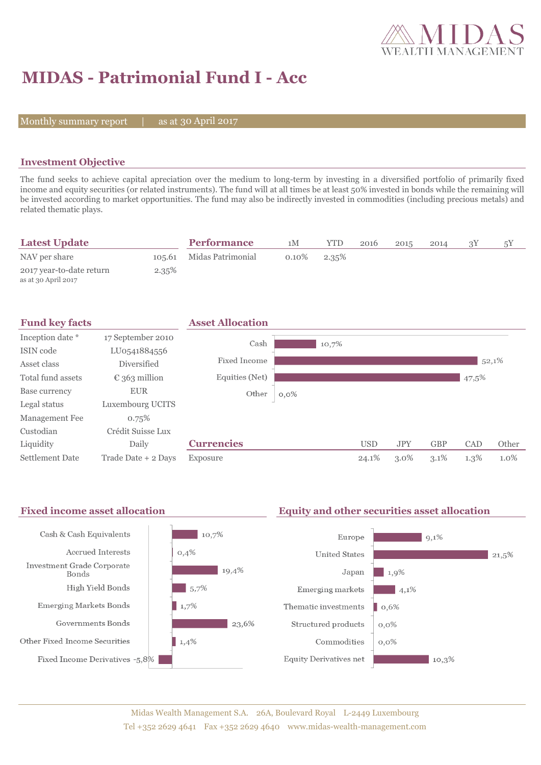

 $|21,5\%$ 

# **MIDAS - Patrimonial Fund I - Acc**

Monthly summary report  $|$ 

as at 30 April 2017

### **Investment Objective**

The fund seeks to achieve capital apreciation over the medium to long-term by investing in a diversified portfolio of primarily fixed income and equity securities (or related instruments). The fund will at all times be at least 50% invested in bonds while the remaining will be invested according to market opportunities. The fund may also be indirectly invested in commodities (including precious metals) and related thematic plays.

| <b>Latest Update</b>                            |       | <b>Performance</b>       | 1M       | YTD   | 2016 | 2015 | 2014 |  |
|-------------------------------------------------|-------|--------------------------|----------|-------|------|------|------|--|
| NAV per share                                   |       | 105.61 Midas Patrimonial | $0.10\%$ | 2.35% |      |      |      |  |
| 2017 year-to-date return<br>as at 30 April 2017 | 2.35% |                          |          |       |      |      |      |  |

| <b>Fund key facts</b>  |                        | <b>Asset Allocation</b> |         |            |            |            |         |       |
|------------------------|------------------------|-------------------------|---------|------------|------------|------------|---------|-------|
| Inception date *       | 17 September 2010      | Cash                    | 10,7%   |            |            |            |         |       |
| ISIN code              | LU0541884556           |                         |         |            |            |            |         |       |
| Asset class            | Diversified            | Fixed Income            |         |            |            |            | 52,1%   |       |
| Total fund assets      | $\epsilon$ 363 million | Equities (Net)          |         |            |            |            | 47,5%   |       |
| Base currency          | <b>EUR</b>             | Other                   | $0,0\%$ |            |            |            |         |       |
| Legal status           | Luxembourg UCITS       |                         |         |            |            |            |         |       |
| Management Fee         | 0.75%                  |                         |         |            |            |            |         |       |
| Custodian              | Crédit Suisse Lux      |                         |         |            |            |            |         |       |
| Liquidity              | Daily                  | <b>Currencies</b>       |         | <b>USD</b> | <b>JPY</b> | <b>GBP</b> | CAD     | Other |
| <b>Settlement Date</b> | Trade Date + 2 Days    | Exposure                |         | 24.1%      | $3.0\%$    | $3.1\%$    | $1.3\%$ | 1.0%  |

#### Fixed income asset allocation **Equity and other securities asset allocation** Cash & Cash Equivalents  $10,7%$  $9,1\%$ Europe Accrued Interests  $0,4%$ **United States** Investment Grade Corporate  $19,4\%$  $1,9%$ Japan Bonds High Yield Bonds  $5,7%$ Emerging markets  $\frac{1}{4,1\%}$  $\blacksquare$  1,7% **Emerging Markets Bonds** Thematic investments  $\log 6\%$ Governments Bonds  $\frac{1}{23,6\%}$ Structured products  $0,0\%$ Other Fixed Income Securities  $\blacksquare$  1,4% Commodities  $0.0\%$ Fixed Income Derivatives -5,8% **Equity Derivatives net**  $10,3\%$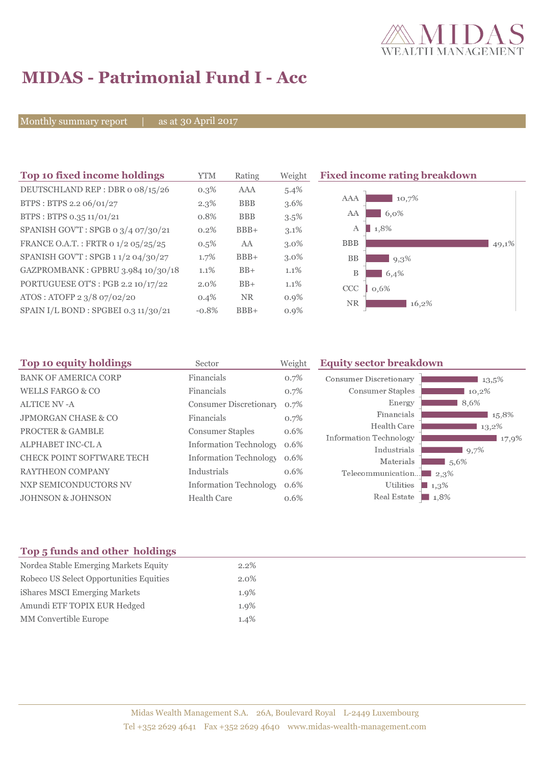

# **MIDAS - Patrimonial Fund I - Acc**

Monthly summary report | as at 30 April 2017

| Top 10 fixed income holdings         | <b>YTM</b> | Rating     | Weight  | <b>Fixed income rating breakdown</b> |
|--------------------------------------|------------|------------|---------|--------------------------------------|
| DEUTSCHLAND REP : DBR o 08/15/26     | $0.3\%$    | AAA        | $5.4\%$ |                                      |
| BTPS: BTPS 2.2 06/01/27              | $2.3\%$    | <b>BBB</b> | $3.6\%$ | 10,7%<br>AAA                         |
| BTPS: BTPS 0.35 11/01/21             | 0.8%       | <b>BBB</b> | $3.5\%$ | 6,0%<br>AA                           |
| SPANISH GOV'T: SPGB 0 3/4 07/30/21   | 0.2%       | $BBB+$     | $3.1\%$ | 1,8%<br>A                            |
| FRANCE O.A.T.: FRTR 0 1/2 05/25/25   | $0.5\%$    | AA         | $3.0\%$ | <b>BBB</b><br>49,1%                  |
| SPANISH GOV'T: SPGB 11/2 04/30/27    | 1.7%       | $BBB+$     | $3.0\%$ | <b>BB</b><br>9,3%                    |
| GAZPROMBANK: GPBRU 3.984 10/30/18    | 1.1%       | $BB+$      | $1.1\%$ | В<br>6,4%                            |
| PORTUGUESE OT'S : PGB 2.2 10/17/22   | 2.0%       | $BB+$      | 1.1%    | CCC<br>0,6%                          |
| ATOS: ATOFP 2 3/8 07/02/20           | 0.4%       | <b>NR</b>  | $0.9\%$ | <b>NR</b><br>16,2%                   |
| SPAIN I/L BOND : SPGBEI 0.3 11/30/21 | $-0.8%$    | $BBB+$     | $0.9\%$ |                                      |

| Top 10 equity holdings         | Sector                        | Weight | <b>Equity sector breakdown</b> |                |  |
|--------------------------------|-------------------------------|--------|--------------------------------|----------------|--|
| <b>BANK OF AMERICA CORP</b>    | Financials                    | 0.7%   | Consumer Discretionary         | $13.5\%$       |  |
| <b>WELLS FARGO &amp; CO</b>    | Financials                    | 0.7%   | Consumer Staples               | 10,2%          |  |
| ALTICE NV -A                   | Consumer Discretionary        | 0.7%   | Energy                         | 8,6%           |  |
| <b>JPMORGAN CHASE &amp; CO</b> | Financials                    | 0.7%   | Financials                     | 15,8%          |  |
| <b>PROCTER &amp; GAMBLE</b>    | <b>Consumer Staples</b>       | 0.6%   | Health Care                    | 13,2%          |  |
| ALPHABET INC-CL A              | <b>Information Technology</b> | 0.6%   | Information Technology         | 17,9%          |  |
| CHECK POINT SOFTWARE TECH      | <b>Information Technology</b> | 0.6%   | Industrials<br>Materials       | 9,7%<br>1,5,6% |  |
| <b>RAYTHEON COMPANY</b>        | Industrials                   | 0.6%   | Telecommunication              | $2.3\%$        |  |
| NXP SEMICONDUCTORS NV          | <b>Information Technology</b> | 0.6%   | Utilities                      | 1,3%           |  |
| <b>JOHNSON &amp; JOHNSON</b>   | <b>Health Care</b>            | 0.6%   | Real Estate                    | 1.8%           |  |

## **Top 5 funds and other holdings**

| Nordea Stable Emerging Markets Equity   | 2.2%    |
|-----------------------------------------|---------|
| Robeco US Select Opportunities Equities | $2.0\%$ |
| iShares MSCI Emerging Markets           | 1.9%    |
| Amundi ETF TOPIX EUR Hedged             | 1.9%    |
| <b>MM</b> Convertible Europe            | 1.4%    |